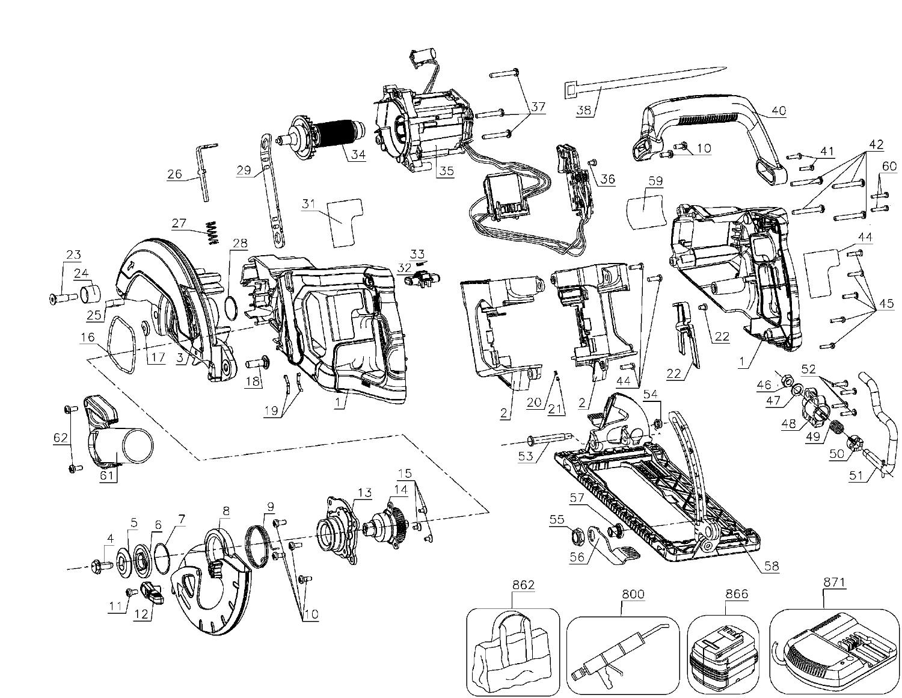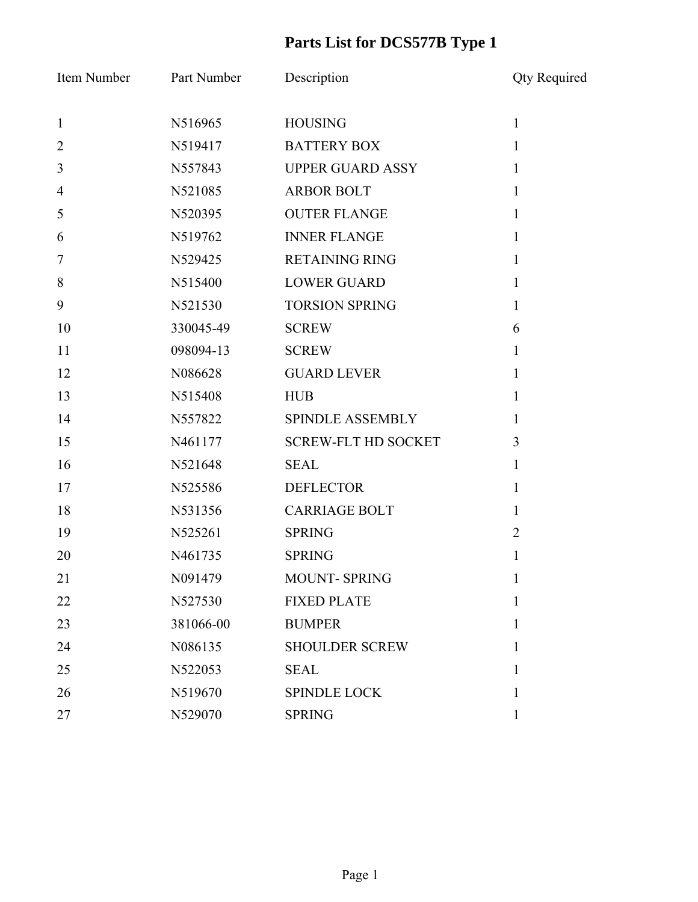## **Parts List for DCS577B Type 1**

| Item Number    | Part Number | Description                | <b>Qty Required</b> |
|----------------|-------------|----------------------------|---------------------|
| $\mathbf{1}$   | N516965     | <b>HOUSING</b>             | $\mathbf{1}$        |
| $\overline{2}$ | N519417     | <b>BATTERY BOX</b>         | $\mathbf{1}$        |
| $\mathfrak{Z}$ | N557843     | <b>UPPER GUARD ASSY</b>    | $\mathbf{1}$        |
| $\overline{4}$ | N521085     | <b>ARBOR BOLT</b>          | $\mathbf{1}$        |
| 5              | N520395     | <b>OUTER FLANGE</b>        | $\mathbf{1}$        |
| 6              | N519762     | <b>INNER FLANGE</b>        | $\mathbf{1}$        |
| 7              | N529425     | <b>RETAINING RING</b>      | $\mathbf{1}$        |
| 8              | N515400     | <b>LOWER GUARD</b>         | $\mathbf{1}$        |
| 9              | N521530     | <b>TORSION SPRING</b>      | $\mathbf{1}$        |
| 10             | 330045-49   | <b>SCREW</b>               | 6                   |
| 11             | 098094-13   | <b>SCREW</b>               | $\mathbf{1}$        |
| 12             | N086628     | <b>GUARD LEVER</b>         | $\mathbf{1}$        |
| 13             | N515408     | <b>HUB</b>                 | $\mathbf{1}$        |
| 14             | N557822     | SPINDLE ASSEMBLY           | $\mathbf{1}$        |
| 15             | N461177     | <b>SCREW-FLT HD SOCKET</b> | 3                   |
| 16             | N521648     | <b>SEAL</b>                | $\mathbf{1}$        |
| 17             | N525586     | <b>DEFLECTOR</b>           | $\mathbf{1}$        |
| 18             | N531356     | <b>CARRIAGE BOLT</b>       | $\mathbf{1}$        |
| 19             | N525261     | <b>SPRING</b>              | $\overline{2}$      |
| 20             | N461735     | <b>SPRING</b>              | 1                   |
| 21             | N091479     | <b>MOUNT-SPRING</b>        | $\bf{l}$            |
| 22             | N527530     | <b>FIXED PLATE</b>         | $\mathbf{1}$        |
| 23             | 381066-00   | <b>BUMPER</b>              | 1                   |
| 24             | N086135     | <b>SHOULDER SCREW</b>      | 1                   |
| 25             | N522053     | <b>SEAL</b>                | 1                   |
| 26             | N519670     | <b>SPINDLE LOCK</b>        | 1                   |
| 27             | N529070     | <b>SPRING</b>              | $\mathbf{1}$        |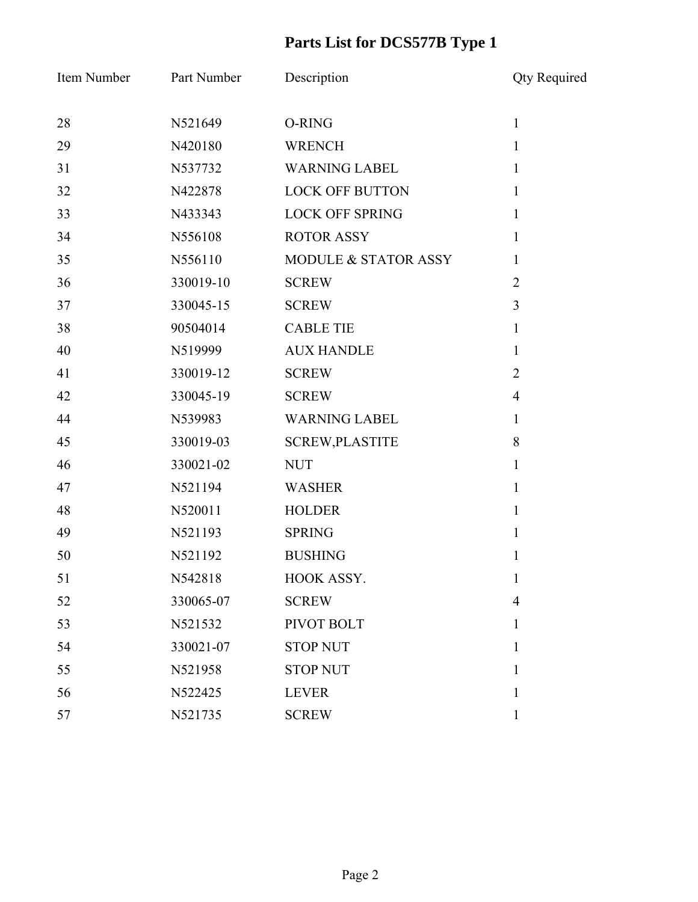## **Parts List for DCS577B Type 1**

| Item Number | Part Number | Description            | <b>Qty Required</b> |
|-------------|-------------|------------------------|---------------------|
| 28          | N521649     | O-RING                 | $\mathbf{1}$        |
| 29          | N420180     | <b>WRENCH</b>          | $\mathbf{1}$        |
| 31          | N537732     | <b>WARNING LABEL</b>   | 1                   |
| 32          | N422878     | <b>LOCK OFF BUTTON</b> | $\mathbf{1}$        |
| 33          | N433343     | <b>LOCK OFF SPRING</b> | $\mathbf{1}$        |
| 34          | N556108     | <b>ROTOR ASSY</b>      | $\mathbf{1}$        |
| 35          | N556110     | MODULE & STATOR ASSY   | 1                   |
| 36          | 330019-10   | <b>SCREW</b>           | $\overline{2}$      |
| 37          | 330045-15   | <b>SCREW</b>           | $\overline{3}$      |
| 38          | 90504014    | <b>CABLE TIE</b>       | $\mathbf{1}$        |
| 40          | N519999     | <b>AUX HANDLE</b>      | $\mathbf{1}$        |
| 41          | 330019-12   | <b>SCREW</b>           | $\overline{2}$      |
| 42          | 330045-19   | <b>SCREW</b>           | $\overline{4}$      |
| 44          | N539983     | <b>WARNING LABEL</b>   | $\mathbf{1}$        |
| 45          | 330019-03   | <b>SCREW, PLASTITE</b> | 8                   |
| 46          | 330021-02   | <b>NUT</b>             | $\mathbf{1}$        |
| 47          | N521194     | <b>WASHER</b>          | $\mathbf{1}$        |
| 48          | N520011     | <b>HOLDER</b>          | $\mathbf{1}$        |
| 49          | N521193     | <b>SPRING</b>          | $\mathbf{1}$        |
| 50          | N521192     | <b>BUSHING</b>         | 1                   |
| 51          | N542818     | HOOK ASSY.             | $\mathbf{I}$        |
| 52          | 330065-07   | <b>SCREW</b>           | $\overline{4}$      |
| 53          | N521532     | PIVOT BOLT             | $\mathbf{1}$        |
| 54          | 330021-07   | <b>STOP NUT</b>        | $\mathbf{1}$        |
| 55          | N521958     | <b>STOP NUT</b>        | 1                   |
| 56          | N522425     | <b>LEVER</b>           | 1                   |
| 57          | N521735     | <b>SCREW</b>           | $\mathbf{1}$        |